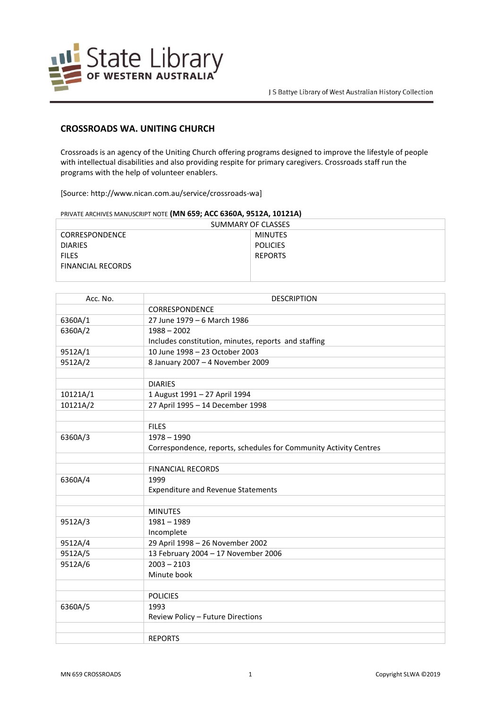

## **CROSSROADS WA. UNITING CHURCH**

Crossroads is an agency of the Uniting Church offering programs designed to improve the lifestyle of people with intellectual disabilities and also providing respite for primary caregivers. Crossroads staff run the programs with the help of volunteer enablers.

[Source: http://www.nican.com.au/service/crossroads-wa]

| PRIVATE ARCHIVES MANUSCRIPT NOTE <b>(IVIIV 059; ACC 0500A, 951ZA, 101ZIA)</b> |                 |  |
|-------------------------------------------------------------------------------|-----------------|--|
| SUMMARY OF CLASSES                                                            |                 |  |
| <b>CORRESPONDENCE</b>                                                         | <b>MINUTES</b>  |  |
| <b>DIARIES</b>                                                                | <b>POLICIES</b> |  |
| <b>FILES</b>                                                                  | <b>REPORTS</b>  |  |
| <b>FINANCIAL RECORDS</b>                                                      |                 |  |
|                                                                               |                 |  |

| Acc. No. | <b>DESCRIPTION</b>                                                |
|----------|-------------------------------------------------------------------|
|          | CORRESPONDENCE                                                    |
| 6360A/1  | 27 June 1979 - 6 March 1986                                       |
| 6360A/2  | $1988 - 2002$                                                     |
|          | Includes constitution, minutes, reports and staffing              |
| 9512A/1  | 10 June 1998 - 23 October 2003                                    |
| 9512A/2  | 8 January 2007 - 4 November 2009                                  |
|          |                                                                   |
|          | <b>DIARIES</b>                                                    |
| 10121A/1 | 1 August 1991 - 27 April 1994                                     |
| 10121A/2 | 27 April 1995 - 14 December 1998                                  |
|          |                                                                   |
|          | <b>FILES</b>                                                      |
| 6360A/3  | $1978 - 1990$                                                     |
|          | Correspondence, reports, schedules for Community Activity Centres |
|          |                                                                   |
|          | <b>FINANCIAL RECORDS</b>                                          |
| 6360A/4  | 1999                                                              |
|          | <b>Expenditure and Revenue Statements</b>                         |
|          |                                                                   |
|          | <b>MINUTES</b>                                                    |
| 9512A/3  | $1981 - 1989$                                                     |
|          | Incomplete                                                        |
| 9512A/4  | 29 April 1998 - 26 November 2002                                  |
| 9512A/5  | 13 February 2004 - 17 November 2006                               |
| 9512A/6  | $2003 - 2103$                                                     |
|          | Minute book                                                       |
|          |                                                                   |
|          | <b>POLICIES</b>                                                   |
| 6360A/5  | 1993                                                              |
|          | Review Policy - Future Directions                                 |
|          |                                                                   |
|          | <b>REPORTS</b>                                                    |

PRIVATE ARCHIVES MANUSCRIPT NOTE **(MN 659; ACC 6360A, 9512A, 10121A)**